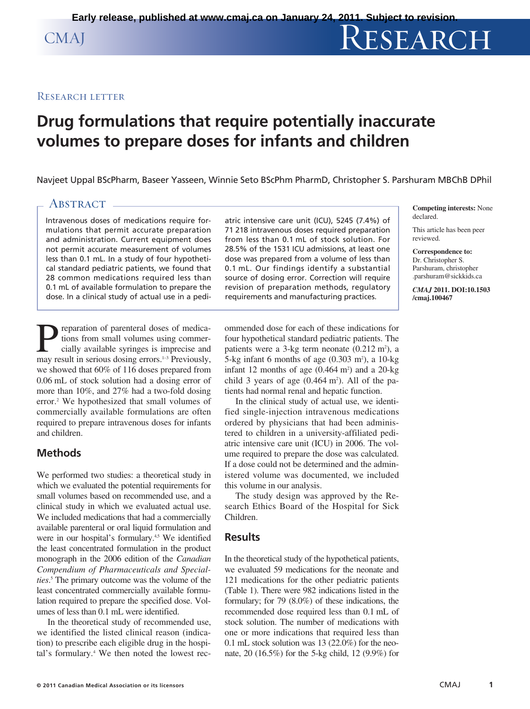#### RESEARCH LETTER

# **Drug formulations that require potentially inaccurate volumes to prepare doses for infants and children**

Navjeet Uppal BScPharm, Baseer Yasseen, Winnie Seto BScPhm PharmD, Christopher S. Parshuram MBChB DPhil

### ABSTRACT -

Intravenous doses of medications require formulations that permit accurate preparation and administration. Current equipment does not permit accurate measurement of volumes less than 0.1 mL. In a study of four hypothetical standard pediatric patients, we found that 28 common medications required less than 0.1 mL of available formulation to prepare the dose. In a clinical study of actual use in a pedi-

**P** reparation of parenteral doses of medications from small volumes using commer-<br>cially available syringes is imprecise and<br>may result in serious dosing errors.<sup>1-3</sup> Previously. tions from small volumes using commercially available syringes is imprecise and may result in serious dosing errors.<sup>1-3</sup> Previously, we showed that 60% of 116 doses prepared from 0.06 mL of stock solution had a dosing error of more than 10%, and 27% had a two-fold dosing error. <sup>2</sup> We hypothesized that small volumes of commercially available formulations are often required to prepare intravenous doses for infants and children.

## **Methods**

We performed two studies: a theoretical study in which we evaluated the potential requirements for small volumes based on recommended use, and a clinical study in which we evaluated actual use. We included medications that had a commercially available parenteral or oral liquid formulation and were in our hospital's formulary.<sup>4,5</sup> We identified the least concentrated formulation in the product monograph in the 2006 edition of the *Canadian Compendium of Pharmaceuticals and Specialties*. <sup>5</sup> The primary outcome was the volume of the least concentrated commercially available formulation required to prepare the specified dose. Volumes of less than 0.1 mL were identified.

In the theoretical study of recommended use, we identified the listed clinical reason (indication) to prescribe each eligible drug in the hospital's formulary. <sup>4</sup> We then noted the lowest recatric intensive care unit (ICU), 5245 (7.4%) of 71 218 intravenous doses required preparation from less than 0.1 mL of stock solution. For 28.5% of the 1531 ICU admissions, at least one dose was prepared from a volume of less than 0.1 mL. Our findings identify a substantial source of dosing error. Correction will require revision of preparation methods, regulatory requirements and manufacturing practices.

ommended dose for each of these indications for four hypothetical standard pediatric patients. The patients were a  $3$ -kg term neonate  $(0.212 \text{ m}^2)$ , a 5-kg infant 6 months of age  $(0.303 \text{ m}^2)$ , a 10-kg infant 12 months of age  $(0.464 \text{ m}^2)$  and a 20-kg child 3 years of age  $(0.464 \text{ m}^2)$ . All of the patients had normal renal and hepatic function.

In the clinical study of actual use, we identified single-injection intravenous medications ordered by physicians that had been administered to children in a university-affiliated pediatric intensive care unit (ICU) in 2006. The volume required to prepare the dose was calculated. If a dose could not be determined and the administered volume was documented, we included this volume in our analysis.

The study design was approved by the Research Ethics Board of the Hospital for Sick Children.

#### **Results**

In the theoretical study of the hypothetical patients, we evaluated 59 medications for the neonate and 121 medications for the other pediatric patients (Table 1). There were 982 indications listed in the formulary; for 79 (8.0%) of these indications, the recommended dose required less than 0.1 mL of stock solution. The number of medications with one or more indications that required less than 0.1 mL stock solution was 13 (22.0%) for the neonate, 20 (16.5%) for the 5-kg child, 12 (9.9%) for

**Competing interests:** None declared.

This article has been peer reviewed.

**Correspondence to:** Dr. Christopher S. Parshuram, christopher .parshuram @sickkids.ca

*CMAJ* **2011. DOI:10.1503 /cmaj.100467**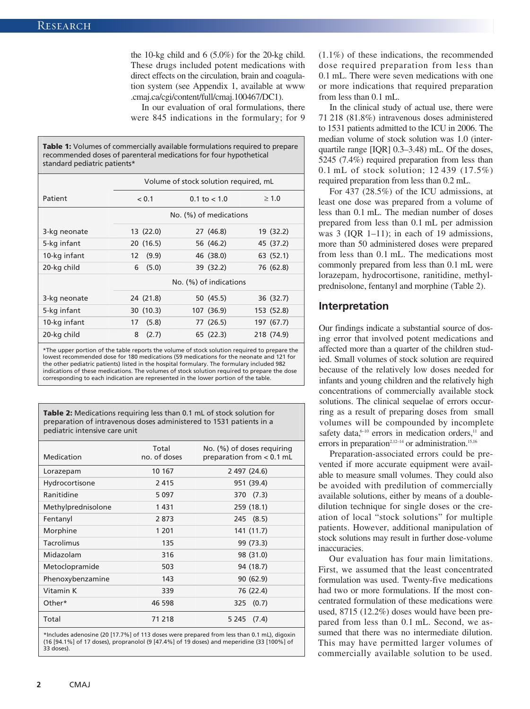the 10-kg child and 6 (5.0%) for the 20-kg child. These drugs included potent medications with direct effects on the circulation, brain and coagulation system (see Appendix 1, available at www .cmaj.ca/cgi/content/full/cmaj.100467/DC1).

In our evaluation of oral formulations, there were 845 indications in the formulary; for 9

| standard pediatric patients* |                                       |                       |            |
|------------------------------|---------------------------------------|-----------------------|------------|
|                              | Volume of stock solution required, mL |                       |            |
| Patient                      | < 0.1                                 | $0.1 \text{ to } 1.0$ | $\geq 1.0$ |
|                              | No. (%) of medications                |                       |            |
| 3-kg neonate                 | 13 (22.0)                             | 27 (46.8)             | 19 (32.2)  |
| 5-kg infant                  | 20 (16.5)                             | 56 (46.2)             | 45 (37.2)  |
| 10-kg infant                 | (9.9)<br>12                           | 46 (38.0)             | 63 (52.1)  |
| 20-kg child                  | (5.0)<br>6                            | 39 (32.2)             | 76 (62.8)  |
|                              | No. (%) of indications                |                       |            |
| 3-kg neonate                 | 24 (21.8)                             | 50 (45.5)             | 36 (32.7)  |
| 5-kg infant                  | 30 (10.3)                             | 107 (36.9)            | 153 (52.8) |
| 10-kg infant                 | (5.8)<br>17                           | 77 (26.5)             | 197 (67.7) |
| 20-kg child                  | 8<br>(2.7)                            | 65 (22.3)             | 218 (74.9) |

**Table 1:** Volumes of commercially available formulations required to prepare

recommended doses of parenteral medications for four hypothetical

\*The upper portion of the table reports the volume of stock solution required to prepare the lowest recommended dose for 180 medications (59 medications for the neonate and 121 for the other pediatric patients) listed in the hospital formulary. The formulary included 982 indications of these medications. The volumes of stock solution required to prepare the dose corresponding to each indication are represented in the lower portion of the table.

**Table 2:** Medications requiring less than 0.1 mL of stock solution for preparation of intravenous doses administered to 1531 patients in a pediatric intensive care unit

| Medication         | Total<br>no. of doses | No. (%) of doses requiring<br>preparation from < 0.1 mL |
|--------------------|-----------------------|---------------------------------------------------------|
| Lorazepam          | 10 167                | 2 497 (24.6)                                            |
| Hydrocortisone     | 2415                  | 951 (39.4)                                              |
| Ranitidine         | 5 0 9 7               | 370 (7.3)                                               |
| Methylprednisolone | 1431                  | 259 (18.1)                                              |
| Fentanyl           | 2873                  | 245 (8.5)                                               |
| Morphine           | 1 2 0 1               | 141 (11.7)                                              |
| Tacrolimus         | 135                   | 99 (73.3)                                               |
| Midazolam          | 316                   | 98 (31.0)                                               |
| Metoclopramide     | 503                   | 94 (18.7)                                               |
| Phenoxybenzamine   | 143                   | 90(62.9)                                                |
| Vitamin K          | 339                   | 76 (22.4)                                               |
| Other*             | 46 598                | 325 (0.7)                                               |
| Total              | 71 218                | (7.4)<br>5 2 4 5                                        |
|                    |                       |                                                         |

\*Includes adenosine (20 [17.7%] of 113 doses were prepared from less than 0.1 mL), digoxin (16 [94.1%] of 17 doses), propranolol (9 [47.4%] of 19 doses) and meperidine (33 [100%] of 33 doses).

(1.1%) of these indications, the recommended dose required preparation from less than 0.1 mL. There were seven medications with one or more indications that required preparation from less than 0.1 mL.

In the clinical study of actual use, there were 71 218 (81.8%) intravenous doses administered to 1531 patients admitted to the ICU in 2006. The median volume of stock solution was 1.0 (interquartile range [IQR] 0.3–3.48) mL. Of the doses, 5245 (7.4%) required preparation from less than 0.1 mL of stock solution; 12 439 (17.5%) required preparation from less than 0.2 mL.

For 437 (28.5%) of the ICU admissions, at least one dose was prepared from a volume of less than 0.1 mL. The median number of doses prepared from less than 0.1 mL per admission was 3 (IQR 1–11); in each of 19 admissions, more than 50 administered doses were prepared from less than 0.1 mL. The medications most commonly prepared from less than 0.1 mL were lorazepam, hydrocortisone, ranitidine, methylprednisolone, fentanyl and morphine (Table 2).

#### **Interpretation**

Our findings indicate a substantial source of dosing error that involved potent medications and affected more than a quarter of the children studied. Small volumes of stock solution are required because of the relatively low doses needed for infants and young children and the relatively high concentrations of commercially available stock solutions. The clinical sequelae of errors occurring as a result of preparing doses from small volumes will be compounded by incomplete safety data,<sup>6-10</sup> errors in medication orders,<sup>11</sup> and errors in preparation<sup>2,12-14</sup> or administration.<sup>15,16</sup>

Preparation-associated errors could be prevented if more accurate equipment were available to measure small volumes. They could also be avoided with predilution of commercially available solutions, either by means of a double dilution technique for single doses or the creation of local "stock solutions" for multiple patients. However, additional manipulation of stock solutions may result in further dose- volume inaccuracies.

Our evaluation has four main limitations. First, we assumed that the least concentrated formulation was used. Twenty-five medications had two or more formulations. If the most concentrated formulation of these medications were used, 8715 (12.2%) doses would have been prepared from less than 0.1 mL. Second, we assumed that there was no intermediate dilution. This may have permitted larger volumes of commercially available solution to be used.